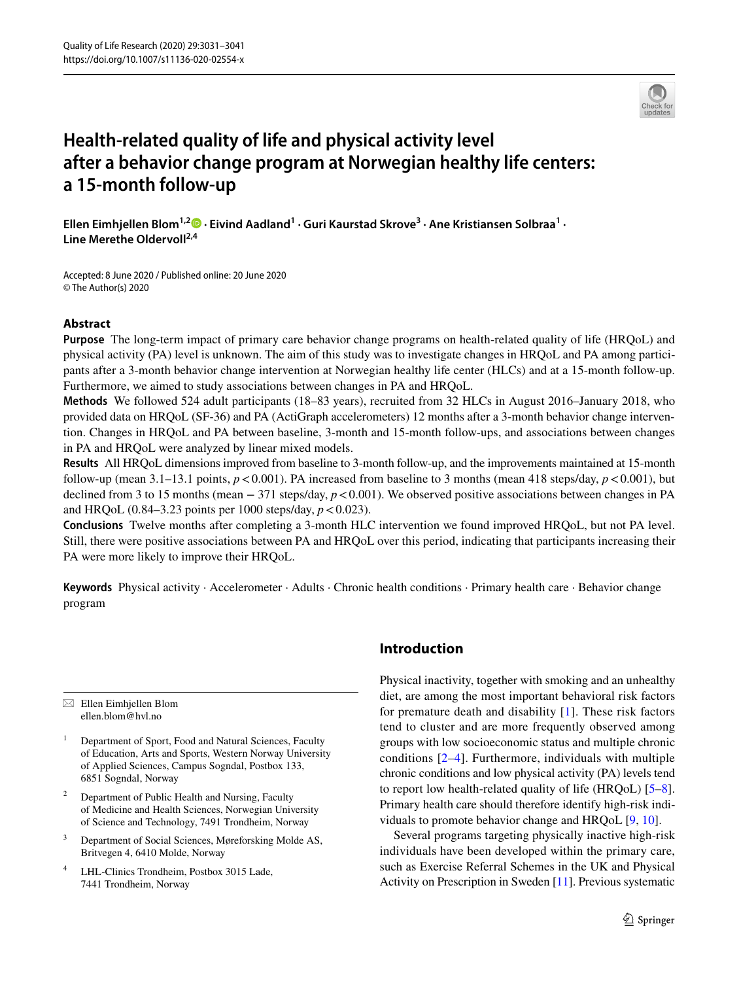

# **Health‑related quality of life and physical activity level after a behavior change program at Norwegian healthy life centers: a 15‑month follow‑up**

**Ellen Eimhjellen Blom1,[2](http://orcid.org/0000-0001-9427-3058) · Eivind Aadland1 · Guri Kaurstad Skrove3 · Ane Kristiansen Solbraa1 · Line Merethe Oldervoll2,4**

Accepted: 8 June 2020 / Published online: 20 June 2020 © The Author(s) 2020

# **Abstract**

**Purpose** The long-term impact of primary care behavior change programs on health-related quality of life (HRQoL) and physical activity (PA) level is unknown. The aim of this study was to investigate changes in HRQoL and PA among participants after a 3-month behavior change intervention at Norwegian healthy life center (HLCs) and at a 15-month follow-up. Furthermore, we aimed to study associations between changes in PA and HRQoL.

**Methods** We followed 524 adult participants (18–83 years), recruited from 32 HLCs in August 2016–January 2018, who provided data on HRQoL (SF-36) and PA (ActiGraph accelerometers) 12 months after a 3-month behavior change intervention. Changes in HRQoL and PA between baseline, 3-month and 15-month follow-ups, and associations between changes in PA and HRQoL were analyzed by linear mixed models.

**Results** All HRQoL dimensions improved from baseline to 3-month follow-up, and the improvements maintained at 15-month follow-up (mean 3.1–13.1 points,  $p < 0.001$ ). PA increased from baseline to 3 months (mean 418 steps/day,  $p < 0.001$ ), but declined from 3 to 15 months (mean − 371 steps/day, *p* < 0.001). We observed positive associations between changes in PA and HRQoL  $(0.84-3.23 \text{ points per } 1000 \text{ steps/day}, p < 0.023)$ .

**Conclusions** Twelve months after completing a 3-month HLC intervention we found improved HRQoL, but not PA level. Still, there were positive associations between PA and HRQoL over this period, indicating that participants increasing their PA were more likely to improve their HRQoL.

**Keywords** Physical activity · Accelerometer · Adults · Chronic health conditions · Primary health care · Behavior change program

 $\boxtimes$  Ellen Eimhjellen Blom ellen.blom@hvl.no

- <sup>1</sup> Department of Sport, Food and Natural Sciences, Faculty of Education, Arts and Sports, Western Norway University of Applied Sciences, Campus Sogndal, Postbox 133, 6851 Sogndal, Norway
- <sup>2</sup> Department of Public Health and Nursing, Faculty of Medicine and Health Sciences, Norwegian University of Science and Technology, 7491 Trondheim, Norway
- <sup>3</sup> Department of Social Sciences, Møreforsking Molde AS, Britvegen 4, 6410 Molde, Norway
- <sup>4</sup> LHL-Clinics Trondheim, Postbox 3015 Lade, 7441 Trondheim, Norway

# **Introduction**

Physical inactivity, together with smoking and an unhealthy diet, are among the most important behavioral risk factors for premature death and disability [\[1](#page-8-0)]. These risk factors tend to cluster and are more frequently observed among groups with low socioeconomic status and multiple chronic conditions  $[2-4]$  $[2-4]$  $[2-4]$ . Furthermore, individuals with multiple chronic conditions and low physical activity (PA) levels tend to report low health-related quality of life (HRQoL) [\[5](#page-8-3)[–8](#page-8-4)]. Primary health care should therefore identify high-risk individuals to promote behavior change and HRQoL [[9,](#page-8-5) [10\]](#page-8-6).

Several programs targeting physically inactive high-risk individuals have been developed within the primary care, such as Exercise Referral Schemes in the UK and Physical Activity on Prescription in Sweden [[11\]](#page-8-7). Previous systematic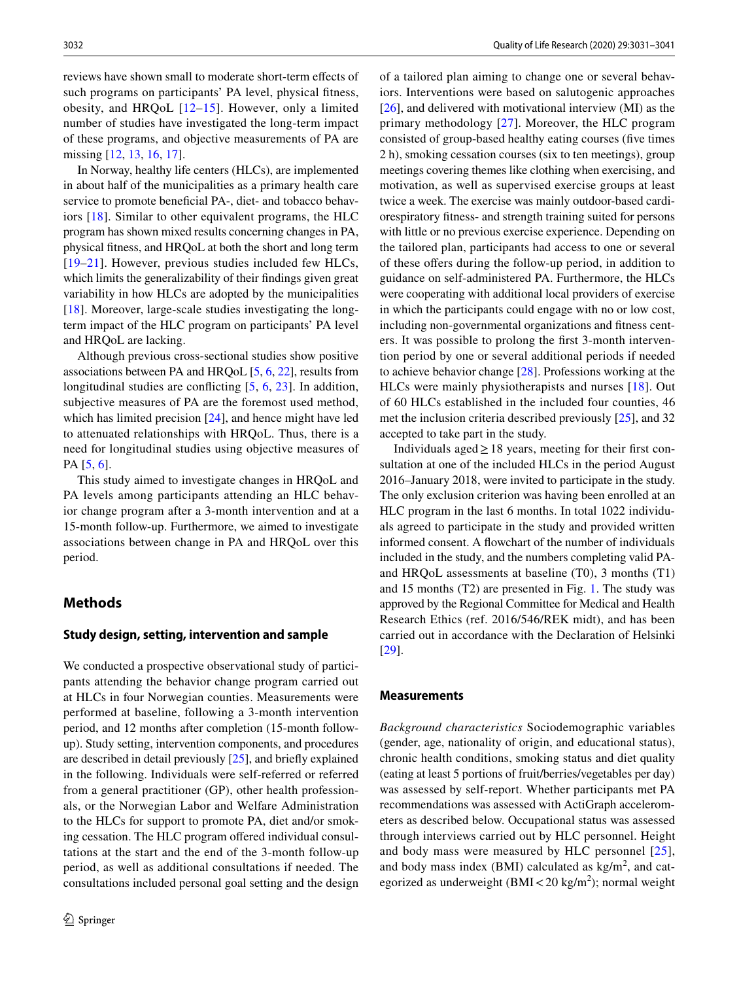reviews have shown small to moderate short-term efects of such programs on participants' PA level, physical fitness, obesity, and HRQoL [[12](#page-8-8)–[15](#page-9-0)]. However, only a limited number of studies have investigated the long-term impact of these programs, and objective measurements of PA are missing [\[12](#page-8-8), [13](#page-9-1), [16,](#page-9-2) [17\]](#page-9-3).

In Norway, healthy life centers (HLCs), are implemented in about half of the municipalities as a primary health care service to promote beneficial PA-, diet- and tobacco behaviors [\[18\]](#page-9-4). Similar to other equivalent programs, the HLC program has shown mixed results concerning changes in PA, physical ftness, and HRQoL at both the short and long term [[19–](#page-9-5)[21\]](#page-9-6). However, previous studies included few HLCs, which limits the generalizability of their fndings given great variability in how HLCs are adopted by the municipalities [\[18\]](#page-9-4). Moreover, large-scale studies investigating the longterm impact of the HLC program on participants' PA level and HRQoL are lacking.

Although previous cross-sectional studies show positive associations between PA and HRQoL [[5,](#page-8-3) [6](#page-8-9), [22\]](#page-9-7), results from longitudinal studies are conflicting [[5](#page-8-3), [6,](#page-8-9) [23](#page-9-8)]. In addition, subjective measures of PA are the foremost used method, which has limited precision [\[24](#page-9-9)], and hence might have led to attenuated relationships with HRQoL. Thus, there is a need for longitudinal studies using objective measures of PA [\[5](#page-8-3), [6](#page-8-9)].

This study aimed to investigate changes in HRQoL and PA levels among participants attending an HLC behavior change program after a 3-month intervention and at a 15-month follow-up. Furthermore, we aimed to investigate associations between change in PA and HRQoL over this period.

# **Methods**

#### **Study design, setting, intervention and sample**

We conducted a prospective observational study of participants attending the behavior change program carried out at HLCs in four Norwegian counties. Measurements were performed at baseline, following a 3-month intervention period, and 12 months after completion (15-month followup). Study setting, intervention components, and procedures are described in detail previously [[25](#page-9-10)], and briefy explained in the following. Individuals were self-referred or referred from a general practitioner (GP), other health professionals, or the Norwegian Labor and Welfare Administration to the HLCs for support to promote PA, diet and/or smoking cessation. The HLC program ofered individual consultations at the start and the end of the 3-month follow-up period, as well as additional consultations if needed. The consultations included personal goal setting and the design of a tailored plan aiming to change one or several behaviors. Interventions were based on salutogenic approaches [[26\]](#page-9-11), and delivered with motivational interview (MI) as the primary methodology [[27](#page-9-12)]. Moreover, the HLC program consisted of group-based healthy eating courses (fve times 2 h), smoking cessation courses (six to ten meetings), group meetings covering themes like clothing when exercising, and motivation, as well as supervised exercise groups at least twice a week. The exercise was mainly outdoor-based cardiorespiratory ftness- and strength training suited for persons with little or no previous exercise experience. Depending on the tailored plan, participants had access to one or several of these offers during the follow-up period, in addition to guidance on self-administered PA. Furthermore, the HLCs were cooperating with additional local providers of exercise in which the participants could engage with no or low cost, including non-governmental organizations and ftness centers. It was possible to prolong the frst 3-month intervention period by one or several additional periods if needed to achieve behavior change [[28](#page-9-13)]. Professions working at the HLCs were mainly physiotherapists and nurses [\[18\]](#page-9-4). Out of 60 HLCs established in the included four counties, 46 met the inclusion criteria described previously [[25\]](#page-9-10), and 32 accepted to take part in the study.

Individuals aged $\geq$  18 years, meeting for their first consultation at one of the included HLCs in the period August 2016–January 2018, were invited to participate in the study. The only exclusion criterion was having been enrolled at an HLC program in the last 6 months. In total 1022 individuals agreed to participate in the study and provided written informed consent. A fowchart of the number of individuals included in the study, and the numbers completing valid PAand HRQoL assessments at baseline (T0), 3 months (T1) and 15 months (T2) are presented in Fig. [1.](#page-2-0) The study was approved by the Regional Committee for Medical and Health Research Ethics (ref. 2016/546/REK midt), and has been carried out in accordance with the Declaration of Helsinki [[29\]](#page-9-14).

#### **Measurements**

*Background characteristics* Sociodemographic variables (gender, age, nationality of origin, and educational status), chronic health conditions, smoking status and diet quality (eating at least 5 portions of fruit/berries/vegetables per day) was assessed by self-report. Whether participants met PA recommendations was assessed with ActiGraph accelerometers as described below. Occupational status was assessed through interviews carried out by HLC personnel. Height and body mass were measured by HLC personnel [[25](#page-9-10)], and body mass index (BMI) calculated as  $\text{kg/m}^2$ , and categorized as underweight (BMI $<$ 20 kg/m<sup>2</sup>); normal weight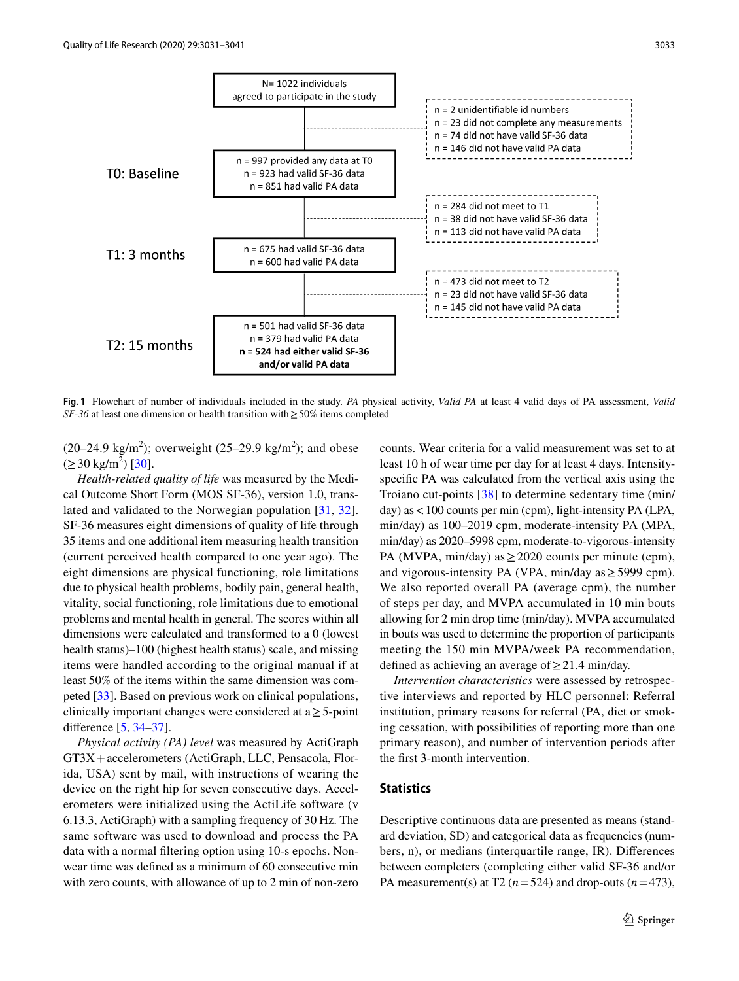

<span id="page-2-0"></span>**Fig. 1** Flowchart of number of individuals included in the study. *PA* physical activity, *Valid PA* at least 4 valid days of PA assessment, *Valid SF-36* at least one dimension or health transition with ≥ 50% items completed

 $(20-24.9 \text{ kg/m}^2)$ ; overweight  $(25-29.9 \text{ kg/m}^2)$ ; and obese  $(\geq 30 \text{ kg/m}^2)$  [[30\]](#page-9-15).

*Health-related quality of life* was measured by the Medical Outcome Short Form (MOS SF-36), version 1.0, translated and validated to the Norwegian population [[31](#page-9-16), [32](#page-9-17)]. SF-36 measures eight dimensions of quality of life through 35 items and one additional item measuring health transition (current perceived health compared to one year ago). The eight dimensions are physical functioning, role limitations due to physical health problems, bodily pain, general health, vitality, social functioning, role limitations due to emotional problems and mental health in general. The scores within all dimensions were calculated and transformed to a 0 (lowest health status)–100 (highest health status) scale, and missing items were handled according to the original manual if at least 50% of the items within the same dimension was competed [\[33](#page-9-18)]. Based on previous work on clinical populations, clinically important changes were considered at  $a \geq 5$ -point diference [\[5](#page-8-3), [34](#page-9-19)[–37](#page-9-20)].

*Physical activity (PA) level* was measured by ActiGraph GT3X+accelerometers (ActiGraph, LLC, Pensacola, Florida, USA) sent by mail, with instructions of wearing the device on the right hip for seven consecutive days. Accelerometers were initialized using the ActiLife software (v 6.13.3, ActiGraph) with a sampling frequency of 30 Hz. The same software was used to download and process the PA data with a normal fltering option using 10-s epochs. Nonwear time was defned as a minimum of 60 consecutive min with zero counts, with allowance of up to 2 min of non-zero

counts. Wear criteria for a valid measurement was set to at least 10 h of wear time per day for at least 4 days. Intensityspecifc PA was calculated from the vertical axis using the Troiano cut-points [\[38](#page-9-21)] to determine sedentary time (min/ day) as<100 counts per min (cpm), light-intensity PA (LPA, min/day) as 100–2019 cpm, moderate-intensity PA (MPA, min/day) as 2020–5998 cpm, moderate-to-vigorous-intensity PA (MVPA, min/day) as  $\geq$  2020 counts per minute (cpm), and vigorous-intensity PA (VPA, min/day as  $\geq$  5999 cpm). We also reported overall PA (average cpm), the number of steps per day, and MVPA accumulated in 10 min bouts allowing for 2 min drop time (min/day). MVPA accumulated in bouts was used to determine the proportion of participants meeting the 150 min MVPA/week PA recommendation, defined as achieving an average of  $\geq$  21.4 min/day.

*Intervention characteristics* were assessed by retrospective interviews and reported by HLC personnel: Referral institution, primary reasons for referral (PA, diet or smoking cessation, with possibilities of reporting more than one primary reason), and number of intervention periods after the frst 3-month intervention.

## **Statistics**

Descriptive continuous data are presented as means (standard deviation, SD) and categorical data as frequencies (numbers, n), or medians (interquartile range, IR). Diferences between completers (completing either valid SF-36 and/or PA measurement(s) at T2 ( $n = 524$ ) and drop-outs ( $n = 473$ ),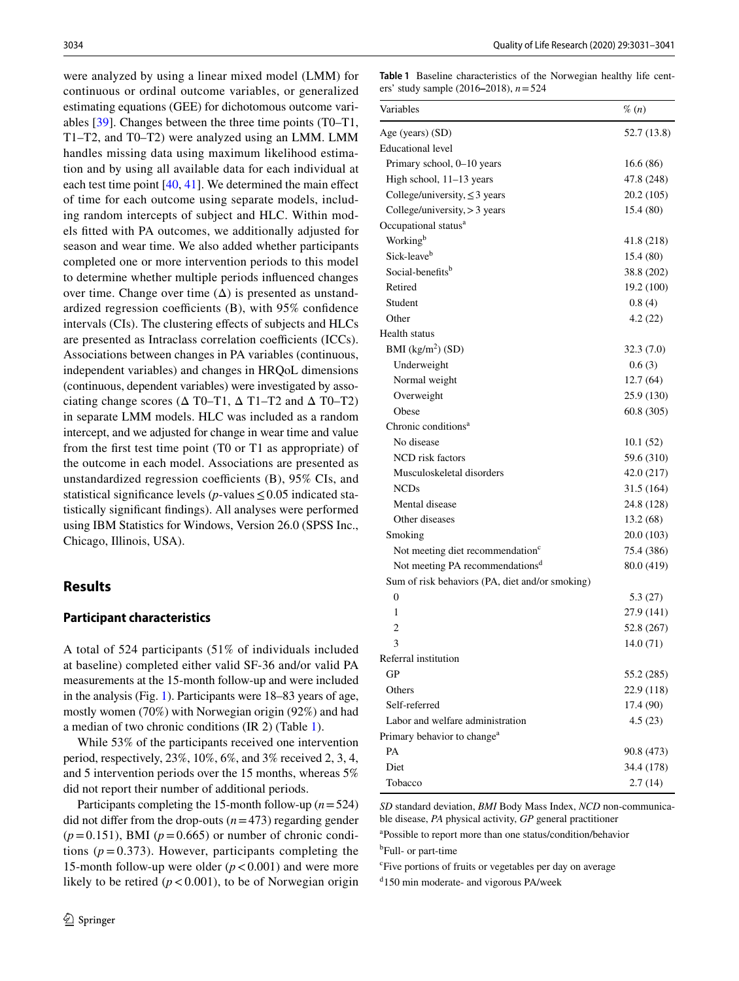were analyzed by using a linear mixed model (LMM) for continuous or ordinal outcome variables, or generalized estimating equations (GEE) for dichotomous outcome variables [[39\]](#page-9-22). Changes between the three time points (T0–T1, T1–T2, and T0–T2) were analyzed using an LMM. LMM handles missing data using maximum likelihood estimation and by using all available data for each individual at each test time point  $[40, 41]$  $[40, 41]$  $[40, 41]$  $[40, 41]$ . We determined the main effect of time for each outcome using separate models, including random intercepts of subject and HLC. Within models ftted with PA outcomes, we additionally adjusted for season and wear time. We also added whether participants completed one or more intervention periods to this model to determine whether multiple periods infuenced changes over time. Change over time  $(\Delta)$  is presented as unstandardized regression coefficients  $(B)$ , with 95% confidence intervals (CIs). The clustering efects of subjects and HLCs are presented as Intraclass correlation coefficients (ICCs). Associations between changes in PA variables (continuous, independent variables) and changes in HRQoL dimensions (continuous, dependent variables) were investigated by associating change scores ( $\Delta$  T0–T1,  $\Delta$  T1–T2 and  $\Delta$  T0–T2) in separate LMM models. HLC was included as a random intercept, and we adjusted for change in wear time and value from the frst test time point (T0 or T1 as appropriate) of the outcome in each model. Associations are presented as unstandardized regression coefficients  $(B)$ , 95% CIs, and statistical significance levels ( $p$ -values  $\leq 0.05$  indicated statistically signifcant fndings). All analyses were performed using IBM Statistics for Windows, Version 26.0 (SPSS Inc., Chicago, Illinois, USA).

## **Results**

#### **Participant characteristics**

A total of 524 participants (51% of individuals included at baseline) completed either valid SF-36 and/or valid PA measurements at the 15-month follow-up and were included in the analysis (Fig. [1\)](#page-2-0). Participants were 18–83 years of age, mostly women (70%) with Norwegian origin (92%) and had a median of two chronic conditions (IR 2) (Table [1\)](#page-3-0).

While 53% of the participants received one intervention period, respectively, 23%, 10%, 6%, and 3% received 2, 3, 4, and 5 intervention periods over the 15 months, whereas 5% did not report their number of additional periods.

Participants completing the 15-month follow-up (*n*=524) did not differ from the drop-outs  $(n=473)$  regarding gender  $(p=0.151)$ , BMI ( $p=0.665$ ) or number of chronic conditions  $(p=0.373)$ . However, participants completing the 15-month follow-up were older  $(p < 0.001)$  and were more likely to be retired  $(p < 0.001)$ , to be of Norwegian origin <span id="page-3-0"></span>**Table 1** Baseline characteristics of the Norwegian healthy life centers' study sample (2016**–**2018), *n*=524

| Variables                                       | $\%$ (n)    |
|-------------------------------------------------|-------------|
| Age (years) (SD)                                | 52.7 (13.8) |
| <b>Educational level</b>                        |             |
| Primary school, 0-10 years                      | 16.6(86)    |
| High school, 11-13 years                        | 47.8 (248)  |
| College/university, $\leq$ 3 years              | 20.2 (105)  |
| College/university, > 3 years                   | 15.4 (80)   |
| Occupational status <sup>a</sup>                |             |
| Working <sup>b</sup>                            | 41.8 (218)  |
| Sick-leave <sup>b</sup>                         | 15.4 (80)   |
| Social-benefits <sup>b</sup>                    | 38.8 (202)  |
| Retired                                         | 19.2 (100)  |
| Student                                         | 0.8(4)      |
| Other                                           | 4.2(22)     |
| Health status                                   |             |
| BMI $(kg/m2)$ (SD)                              | 32.3(7.0)   |
| Underweight                                     | 0.6(3)      |
| Normal weight                                   | 12.7(64)    |
| Overweight                                      | 25.9 (130)  |
| Obese                                           | 60.8 (305)  |
| Chronic conditions <sup>a</sup>                 |             |
| No disease                                      | 10.1(52)    |
| NCD risk factors                                | 59.6 (310)  |
| Musculoskeletal disorders                       | 42.0 (217)  |
| <b>NCDs</b>                                     | 31.5 (164)  |
| Mental disease                                  | 24.8 (128)  |
| Other diseases                                  | 13.2(68)    |
| Smoking                                         | 20.0 (103)  |
| Not meeting diet recommendation <sup>c</sup>    | 75.4 (386)  |
| Not meeting PA recommendations <sup>d</sup>     | 80.0 (419)  |
| Sum of risk behaviors (PA, diet and/or smoking) |             |
| $\mathbf{0}$                                    | 5.3(27)     |
| 1                                               | 27.9 (141)  |
| 2                                               | 52.8 (267)  |
| 3                                               | 14.0(71)    |
| Referral institution                            |             |
| GP                                              | 55.2 (285)  |
| Others                                          | 22.9 (118)  |
| Self-referred                                   | 17.4 (90)   |
| Labor and welfare administration                | 4.5(23)     |
| Primary behavior to change <sup>a</sup>         |             |
| PA                                              | 90.8 (473)  |
| Diet                                            | 34.4 (178)  |
| Tobacco                                         | 2.7(14)     |

*SD* standard deviation, *BMI* Body Mass Index, *NCD* non-communicable disease, *PA* physical activity, *GP* general practitioner

a Possible to report more than one status/condition/behavior <sup>b</sup>Full- or part-time

c Five portions of fruits or vegetables per day on average

d 150 min moderate- and vigorous PA/week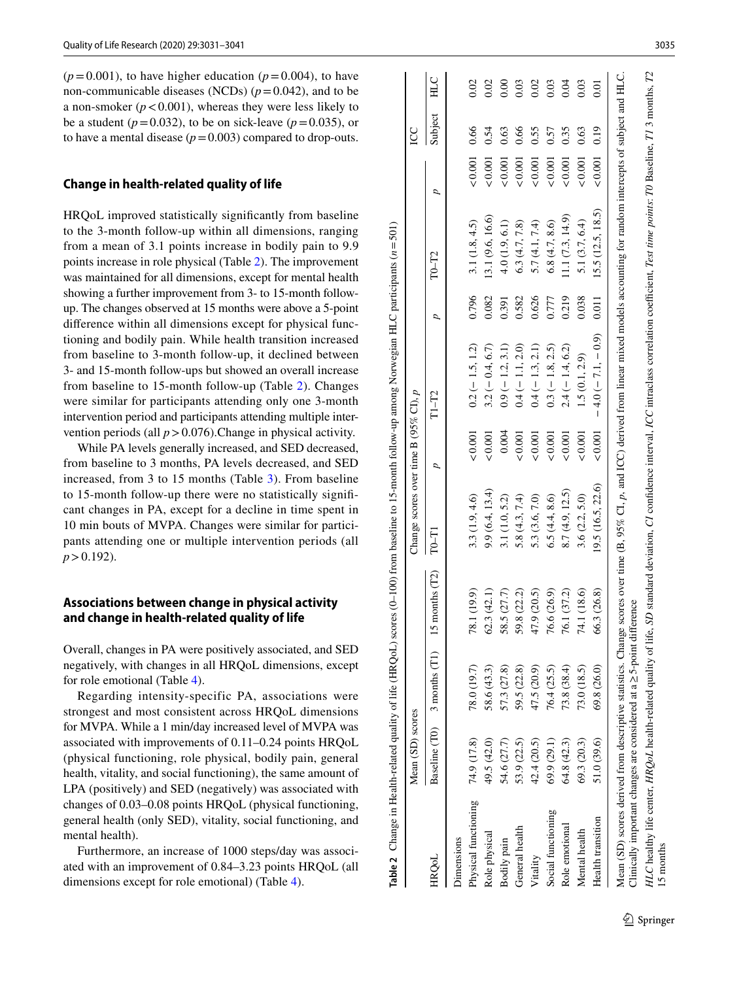$(p=0.001)$ , to have higher education  $(p=0.004)$ , to have non-communicable diseases (NCDs)  $(p=0.042)$ , and to be a non-smoker  $(p < 0.001)$ , whereas they were less likely to be a student ( $p = 0.032$ ), to be on sick-leave ( $p = 0.035$ ), or to have a mental disease  $(p=0.003)$  compared to drop-outs.

# **Change in health‑related quality of life**

HRQoL improved statistically signifcantly from baseline to the 3-month follow-up within all dimensions, ranging from a mean of 3.1 points increase in bodily pain to 9.9 points increase in role physical (Table [2\)](#page-4-0). The improvement was maintained for all dimensions, except for mental health showing a further improvement from 3- to 15-month followup. The changes observed at 15 months were above a 5-point diference within all dimensions except for physical func tioning and bodily pain. While health transition increased from baseline to 3-month follow-up, it declined between 3- and 15-month follow-ups but showed an overall increase from baseline to 15-month follow-up (Table [2\)](#page-4-0). Changes were similar for participants attending only one 3-month intervention period and participants attending multiple intervention periods (all  $p > 0.076$ ).Change in physical activity.

While PA levels generally increased, and SED decreased, from baseline to 3 months, PA levels decreased, and SED increased, from 3 to 15 months (Table [3\)](#page-5-0). From baseline to 15-month follow-up there were no statistically signif cant changes in PA, except for a decline in time spent in 10 min bouts of MVPA. Changes were similar for partici pants attending one or multiple intervention periods (all *p*>0.192).

## **Associations between change in physical activity and change in health‑related quality of life**

Overall, changes in PA were positively associated, and SED negatively, with changes in all HRQoL dimensions, except for role emotional (Table [4](#page-6-0)).

Regarding intensity-specific PA, associations were strongest and most consistent across HRQoL dimensions for MVPA. While a 1 min/day increased level of MVPA was associated with improvements of 0.11–0.24 points HRQoL (physical functioning, role physical, bodily pain, general health, vitality, and social functioning), the same amount of LPA (positively) and SED (negatively) was associated with changes of 0.03–0.08 points HRQoL (physical functioning, general health (only SED), vitality, social functioning, and mental health).

Furthermore, an increase of 1000 steps/day was associ ated with an improvement of 0.84–3.23 points HRQoL (all dimensions except for role emotional) (Table [4\)](#page-6-0).

|                                                                            | Mean (SD) scores |                                                      |             | Change scores over time B (95% CI), $p$ |                |                                                                                                                                                                                                      |                |                   |               | <b>CC</b> |      |
|----------------------------------------------------------------------------|------------------|------------------------------------------------------|-------------|-----------------------------------------|----------------|------------------------------------------------------------------------------------------------------------------------------------------------------------------------------------------------------|----------------|-------------------|---------------|-----------|------|
| <b>HROoL</b>                                                               |                  | Baseline (T0) $\,$ 3 months (T1) $\,$ 15 months (T2) |             | TO-T1                                   | $\overline{a}$ | $T1-T2$                                                                                                                                                                                              | $\overline{a}$ | TO-T2             | p             | Subject   | HLC  |
| Dimensions                                                                 |                  |                                                      |             |                                         |                |                                                                                                                                                                                                      |                |                   |               |           |      |
| Physical functioning                                                       | 74.9 (17.8)      | 78.0 (19.7)                                          | 78.1 (19.9) | 3.3(1.9, 4.6)                           | &0.001         | $0.2 (-1.5, 1.2)$                                                                                                                                                                                    | 0.796          | 3.1(1.8, 4.5)     | & 0.001       | 0.66      | 0.02 |
| Role physical                                                              | 49.5 (42.0)      | 58.6 (43.3)                                          | 62.3(42.1)  | 9.9(6.4, 13.4)                          | < 0.001        | $3.2(-0.4, 6.7)$                                                                                                                                                                                     | 0.082          | 13.1 (9.6, 16.6)  | ${}_{0.001}$  | 0.54      | 0.02 |
| Bodily pain                                                                | 54.6 (27.7)      | 57.3 (27.8)                                          | 58.5 (27.7) | 3.1(1.0, 5.2)                           | 0.004          | $0.9(-1.2, 3.1)$                                                                                                                                                                                     | 0.391          | 4.0(1.9, 6.1)     | &0.001        | 0.63      | 0.00 |
| General health                                                             | 53.9 (22.5)      | 59.5 (22.8)                                          | 59.8 (22.2) | 5.8(4.3, 7.4)                           | ${}_{<0.001}$  | $0.4 (-1.1, 2.0)$                                                                                                                                                                                    | 0.582          | 6.3(4.7, 7.8)     | ${}_{0.001}$  | 0.66      | 0.03 |
| Vitality                                                                   | 42.4 (20.5)      | 47.5 (20.9)                                          | 47.9 (20.5) | 5.3 (3.6, 7.0)                          | ${}_{<0.001}$  | $0.4 (-1.3, 2.1)$                                                                                                                                                                                    | 0.626          | 5.7(4.1, 7.4)     | ${}_{<0.001}$ | 0.55      | 0.02 |
| Social functioning                                                         | 69.9(29.1)       | 76.4 (25.5)                                          | 76.6 (26.9) | 6.5(4.4, 8.6)                           | ${}_{<0.001}$  | $0.3 (-1.8, 2.5)$                                                                                                                                                                                    | 0.777          | 6.8(4.7, 8.6)     | &0.001        | 0.57      | 0.03 |
| Role emotional                                                             | 64.8 (42.3)      | 73.8 (38.4)                                          | 76.1 (37.2) | 8.7 (4.9, 12.5)                         | 0.001          | $2.4 (-1.4, 6.2)$                                                                                                                                                                                    | 0.219          | (1.1(7.3, 14.9))  | ${}_{0.001}$  | 0.35      | 0.04 |
| Mental health                                                              | 69.3 (20.3)      | 73.0 (18.5)                                          | 74.1 (18.6) | 3.6(2.2, 5.0)                           | 0.001          | 1.5(0.1, 2.9)                                                                                                                                                                                        | 0.038          | 5.1 $(3.7, 6.4)$  | ${}_{<0.001}$ | 0.63      | 0.03 |
| Health transition                                                          | 51.0 (39.6)      | 69.8 (26.0)                                          | 66.3 (26.8) | 19.5 (16.5, 22.6)                       | & 0.001        | $-4.0(-7.1,-0.9)$                                                                                                                                                                                    | 0.011          | 15.5 (12.5, 18.5) | 0.001         | 0.19      | 0.01 |
| Mean (SD) scores derived from descriptive statistics. Change               |                  |                                                      |             |                                         |                | scores over time (B, 95% CI, p, and ICC) derived from linear mixed models accounting for random intercepts of subject and HLC.                                                                       |                |                   |               |           |      |
| linically important changes are considered at $a \geq 5$ -point difference |                  |                                                      |             |                                         |                |                                                                                                                                                                                                      |                |                   |               |           |      |
|                                                                            |                  |                                                      |             |                                         |                | HLC healthy life center, HRQoL health-related quality of life, SD standard deviation, CI confidence interval, ICC intraclass correlation coefficient, Test time points: T0 Baseline, T1 3 months, T2 |                |                   |               |           |      |

**Table 2** Change in Health-related quality of life (HRQoL) scores (0–100) from baseline to 15-month follow-up among Norwegian HLC participants (*n*=501)

**Table 2** Change in Health-related quality of life (HRQoL) scores (0-100) from baseline to 15-month follow-up among Norwegian HLC participants ( $n = 501$ )

15 months

<span id="page-4-0"></span>15 months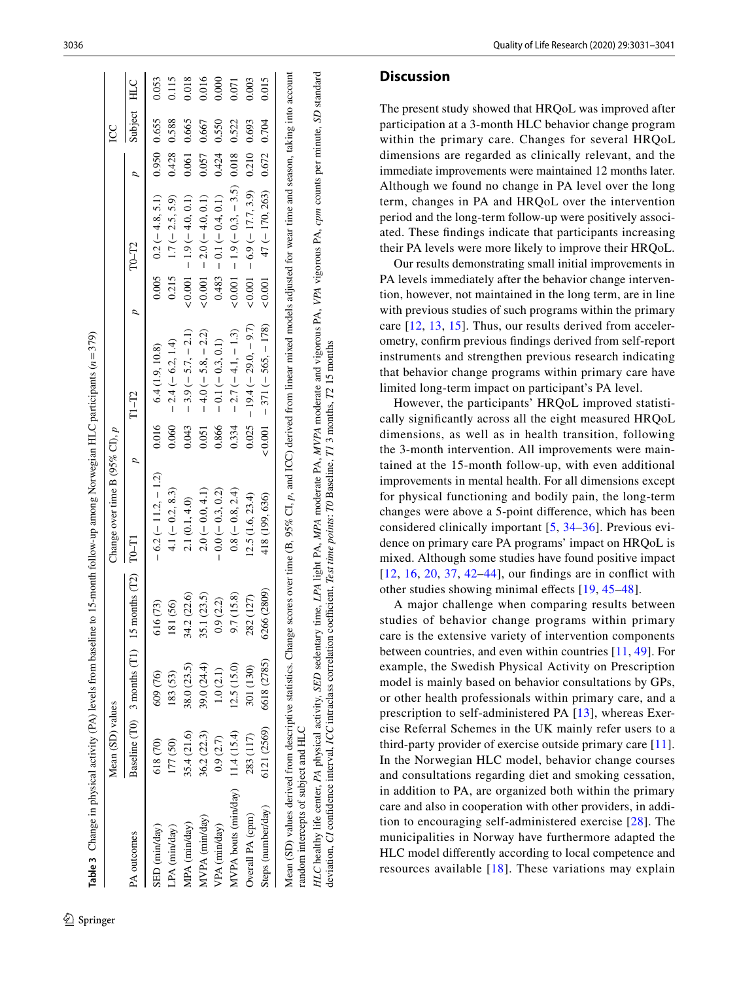|                                      | Mean (SD) values    |             |                                                  | Change over time B (95% CI), $p$ |                |                             |                |                                         |             | SC          |       |
|--------------------------------------|---------------------|-------------|--------------------------------------------------|----------------------------------|----------------|-----------------------------|----------------|-----------------------------------------|-------------|-------------|-------|
| PA outcomes                          |                     |             | Baseline $(T0)$ 3 months $(T1)$ 15 months $(T2)$ | TO-TI                            | $\overline{a}$ | $T1-T2$                     | $\overline{a}$ | $T0-T2$                                 |             | Subject HLC |       |
| SED (min/day)                        | 618 <sub>(70)</sub> | 609 (76)    | (73)<br>Ğ                                        | $-6.2 (-11.2, -1.2)$             | 0.016          | 6.4(1.9, 10.8)              |                | $0.005$ $0.2 (-4.8, 5.1)$               | 0.950 0.655 |             | 0.053 |
| LPA (min/day)                        | 177 (50)            | 183 (53)    | 181 (56)                                         | $4.1 (-0.2, 8.3)$                | 0.060          | $-2.4 (-6.2, 1.4)$          | 0.215          | $1.7 (-2.5, 5.9)$                       | 0.428       | 0.588       | 0.115 |
| MPA (min/day)                        | 35.4 (21.6)         | 38.0 (23.5) | 34.2 (22.6)                                      | 2.1(0.1, 4.0)                    | 0.043          | $-3.9(-5.7, -2.1)$          |                | (10, 0.0, 0.1)                          | 0.061 0.665 |             | 0.018 |
| MVPA (min/day)                       | 36.2 (22.3)         | 39.0 (24.4) | 35.1 (23.5)                                      | $2.0(-0.0, 4.1)$                 | 0.051          | $-4.0(-5.8,-2.2)$           | & 0.001        | $-2.0(-4.0, 0.1)$                       | 0.057       | 0.667       | 0.016 |
| VPA (min/day)                        | 0.9(2.7)            | 1.0(2.1)    | 0.9(2.2)                                         | $-0.0(-0.3, 0.2)$                | 0.866          | $-0.1(-0.3, 0.1)$           |                | $0.483 - 0.1(-0.4, 0.1)$                | 0.424       | 0.550       | 0.000 |
| MVPA bouts ( $min/day$ ) 11.4 (15.4) |                     | 12.5(15.0)  | 9.7 (15.8)                                       | $0.8 (-0.8, 2.4)$                | 0.334          | $-2.7(-4.1,-1.3)$           |                | $(0.001 - 1.9(-0.3, -3.5))$ 0.018 0.522 |             |             | 0.071 |
| Overall PA (cpm)                     | 283 (117)           | 301 (130)   | 282 (127)                                        | 12.5(1.6, 23.4)                  | 0.025          | $-19.4(-29.0,-9.7)$         |                | (17.7, 3.9)                             | 0.210       | 0.693       | 0.003 |
| Steps (number/day)                   | 6121 (2569)         | 6618 (2785) | 6266 (2809)                                      | 418 (199, 636)                   |                | $(1.001 - 371(-565, -178))$ | 0.001          | $47 (- 170, 263)$ 0.672 0.704           |             |             | 0.015 |

HLC healthy life center, PA physical activity, SED sedentary time, LPA light PA, MPA moderate PA, MVPA moderate and vigorous PA, VPA vigorous PA, cpm counts per minute, SD standard

HLC healthy life center, PA physical activity, SED sedentary time, LPA light PA, MPA moderate PA, MVPA moderate and vigorous PA, VPA vigorous PA, cpm counts per minute, SD standard

deviation, *CI* confdence interval, *ICC* intraclass correlation coefcient, *Test time points*: *T0* Baseline, *T1* 3 months, *T2* 15 months

deviation, CI confidence interval, ICC intraclass correlation coefficient, Test time points; TO Baseline, T1 3 months, T2 15 months

<span id="page-5-0"></span><sup>2</sup> Springer

#### **Discussion**

The present study showed that HRQoL was improved after participation at a 3-month HLC behavior change program within the primary care. Changes for several HRQoL dimensions are regarded as clinically relevant, and the immediate improvements were maintained 12 months later. Although we found no change in PA level over the long term, changes in PA and HRQoL over the intervention period and the long-term follow-up were positively associ ated. These fndings indicate that participants increasing their PA levels were more likely to improve their HRQoL.

Our results demonstrating small initial improvements in PA levels immediately after the behavior change interven tion, however, not maintained in the long term, are in line with previous studies of such programs within the primary care [[12](#page-8-8), [13](#page-9-1), [15](#page-9-0)]. Thus, our results derived from acceler ometry, confrm previous fndings derived from self-report instruments and strengthen previous research indicating that behavior change programs within primary care have limited long-term impact on participant's PA level.

However, the participants' HRQoL improved statisti cally signifcantly across all the eight measured HRQoL dimensions, as well as in health transition, following the 3-month intervention. All improvements were main tained at the 15-month follow-up, with even additional improvements in mental health. For all dimensions except for physical functioning and bodily pain, the long-term changes were above a 5-point diference, which has been considered clinically important [[5,](#page-8-3) [34](#page-9-19)–[36](#page-9-24)]. Previous evidence on primary care PA programs' impact on HRQoL is [mix](#page-8-8)[ed.](#page-9-2) [Alth](#page-9-25)[oug](#page-9-20)[h so](#page-10-1)[me](#page-10-2) studies have found positive impact [[12](#page-8-8), [16](#page-9-2), [20,](#page-9-25) [37,](#page-9-20) [42–](#page-10-1)[44\]](#page-10-2), our findings are in conflict with other studies showing minimal efects [[19](#page-9-5), [45](#page-10-3) –[48](#page-10-4)].

A major challenge when comparing results between studies of behavior change programs within primary care is the extensive variety of intervention components between countries, and even within countries [\[11,](#page-8-7) [49\]](#page-10-5). For example, the Swedish Physical Activity on Prescription model is mainly based on behavior consultations by GPs, or other health professionals within primary care, and a prescription to self-administered PA [\[13\]](#page-9-1), whereas Exer cise Referral Schemes in the UK mainly refer users to a third-party provider of exercise outside primary care [[11](#page-8-7)]. In the Norwegian HLC model, behavior change courses and consultations regarding diet and smoking cessation, in addition to PA, are organized both within the primary care and also in cooperation with other providers, in addi tion to encouraging self-administered exercise [[28](#page-9-13)]. The municipalities in Norway have furthermore adapted the HLC model diferently according to local competence and resources available [[18\]](#page-9-4). These variations may explain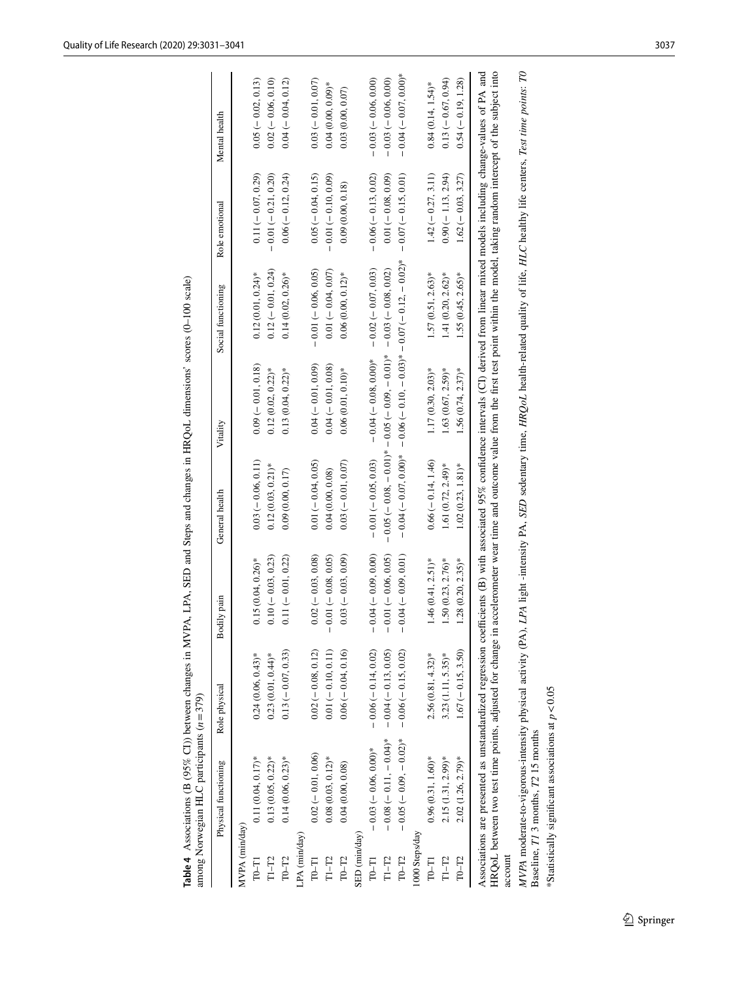| $\frac{1}{2}$<br>ļ<br>3<br>ī                                                   | $\frac{1}{2}$<br>しゅうし | Î<br>.<br>7<br>7 |  | $\frac{1}{2}$ |  | ;<br>;<br>; |  |  |
|--------------------------------------------------------------------------------|-----------------------|------------------|--|---------------|--|-------------|--|--|
| i<br>$\begin{array}{c}\n\bullet \\ \bullet \\ \bullet \\ \bullet\n\end{array}$ | j                     | l<br>Ï           |  |               |  |             |  |  |

|                | Table 4 Associations (B (95% CI)) between changes in MVPA, LPA, SED and Steps and changes in HRQoL dimensions' scores (0-100 scale)<br>among Norwegian HLC participants $(n=379)$ |                       |                       |                       |                                                                              |                      |                       |                         |
|----------------|-----------------------------------------------------------------------------------------------------------------------------------------------------------------------------------|-----------------------|-----------------------|-----------------------|------------------------------------------------------------------------------|----------------------|-----------------------|-------------------------|
|                | Physical functioning                                                                                                                                                              | Role physical         | Bodily pain           | General health        | Vitality                                                                     | Social functioning   | Role emotional        | Mental health           |
| MVPA (min/day) |                                                                                                                                                                                   |                       |                       |                       |                                                                              |                      |                       |                         |
| $T0-T1$        | $0.11(0.04, 0.17)*$                                                                                                                                                               | $0.24(0.06, 0.43)*$   | $0.15(0.04, 0.26)$ *  | $0.03(-0.06, 0.11)$   | $0.09(-0.01, 0.18)$                                                          | $0.12(0.01, 0.24)$ * | $0.11 (-0.07, 0.29)$  | $0.05 (-0.02, 0.13)$    |
| $T1-T2$        | $0.13(0.05, 0.22)*$                                                                                                                                                               | $0.23(0.01, 0.44)$ *  | $0.10 (-0.03, 0.23)$  | $0.12(0.03, 0.21)$ *  | $0.12(0.02, 0.22)$ *                                                         | $0.12 (-0.01, 0.24)$ | $-0.01(-0.21, 0.20)$  | $0.02 (-0.06, 0.10)$    |
| $T0-T2$        | $0.14(0.06, 0.23)*$                                                                                                                                                               | $0.13(-0.07, 0.33)$   | $0.11 (-0.01, 0.22)$  | 0.09(0.00, 0.17)      | $0.13(0.04, 0.22)^*$                                                         | $0.14(0.02, 0.26)$ * | $0.06 (-0.12, 0.24)$  | $0.04 (-0.04, 0.12)$    |
| LPA (min/day)  |                                                                                                                                                                                   |                       |                       |                       |                                                                              |                      |                       |                         |
| $T0-T1$        | $0.02 (-0.01, 0.06)$                                                                                                                                                              | $0.02 (-0.08, 0.12)$  | $0.02 (-0.03, 0.08)$  | $0.01 (-0.04, 0.05)$  | $0.04 (-0.01, 0.09)$                                                         | $-0.01(-0.06, 0.05)$ | $0.05 (-0.04, 0.15)$  | $0.03 (-0.01, 0.07)$    |
| $T1-T2$        | $0.08(0.03, 0.12)*$                                                                                                                                                               | $0.01 (-0.10, 0.11)$  | $-0.01(-0.08, 0.05)$  | 0.04(0.00, 0.08)      | $0.04 (-0.01, 0.08)$                                                         | $0.01 (-0.04, 0.07)$ | $-0.01(-0.10, 0.09)$  | $0.04(0.00, 0.09)*$     |
| $T0-T2$        | 0.04(0.00, 0.08)                                                                                                                                                                  | $0.06 (-0.04, 0.16)$  | $0.03 (-0.03, 0.09)$  | $0.03(-0.01, 0.07)$   | $0.06(0.01, 0.10)$ *                                                         | $0.06(0.00, 0.12)$ * | 0.09(0.00, 0.18)      | 0.03(0.00, 0.07)        |
| SED (min/day   |                                                                                                                                                                                   |                       |                       |                       |                                                                              |                      |                       |                         |
| $T0-T1$        | $-0.03 (-0.06, 0.00)$ *                                                                                                                                                           | $-0.06(-0.14, 0.02)$  | $-0.04 (-0.09, 0.00)$ | $-0.01 (-0.05, 0.03)$ | $-0.04 (-0.08, 0.00)*$                                                       | $-0.02(-0.07, 0.03)$ | $-0.06 (-0.13, 0.02)$ | $-0.03 (-0.06, 0.00)$   |
| $T1-T2$        | $*(70.0 - 1.110) - 80.000$                                                                                                                                                        | $-0.04 (-0.13, 0.05)$ | $0.01 (-0.06, 0.05)$  |                       | $-0.05(-0.08, -0.05(-0.05(-0.05)(-0.05(-0.05(0.02)$                          |                      | $0.01 (-0.08, 0.09)$  | $-0.03(-0.06, 0.00)$    |
| $T0-T2$        | $-0.05(-0.09, -0.02)^*$                                                                                                                                                           | $-0.06(-0.15, 0.02)$  | $-0.04 (-0.09, 0.01)$ |                       | $-0.07(-0.07, 0.000)$ + $-0.06(-0.10, -0.07)$ + $-0.07(-0.12, -0.12, -0.07)$ |                      | $-0.07(-0.15, 0.01)$  | $-0.04 (-0.07, 0.00)$ * |
| 1000 Steps/day |                                                                                                                                                                                   |                       |                       |                       |                                                                              |                      |                       |                         |
| $T0-T1$        | $0.96(0.31, 1.60)*$                                                                                                                                                               | $2.56(0.81, 4.32)*$   | $1.46(0.41, 2.51)$ *  | $0.66 (= 0.14, 1.46)$ | $1.17(0.30, 2.03)*$                                                          | $1.57(0.51, 2.63)*$  | $1.42 (-0.27, 3.11)$  | $0.84(0.14, 1.54)$ *    |
| $T1-T2$        | $2.15(1.31, 2.99)$ *                                                                                                                                                              | $3.23(1.11, 5.35)*$   | $1.50(0.23, 2.76)$ *  | $1.61(0.72, 2.49)$ *  | $1.63(0.67, 2.59)*$                                                          | $1.41(0.20, 2.62)$ * | $0.90(-1.13, 2.94)$   | $0.13 (-0.67, 0.94)$    |
| $T0-T2$        | $2.02(1.26, 2.79)*$                                                                                                                                                               | $1.67 (-0.15, 3.50)$  | $1.28(0.20, 2.35)*$   | $1.02(0.23, 1.81)$ *  | $1.56(0.74, 2.37)$ *                                                         | $1.55(0.45, 2.65)$ * | $1.62(-0.03, 3.27)$   | $0.54 (-0.19, 1.28)$    |
|                |                                                                                                                                                                                   |                       |                       |                       |                                                                              |                      |                       |                         |

T0-T2 2.02 (1.26, 2.79)\* 1.67 (- 0.15, 3.50) 1.28 (0.20, 2.35)\* 1.02 (0.23, 1.81)\* 1.56 (0.74, 2.37)\* 1.55 (0.45, 2.65)\* 1.62 (- 0.03, 3.27) 0.54 (- 0.19, 1.28)<br>Associations are presented as unstandardized regression coef Associations are presented as unstandardized regression coefcients (B) with associated 95% confdence intervals (CI) derived from linear mixed models including change-values of PA and HRQoL between two test time points, adjusted for change in accelerometer wear time and outcome value from the frst test point within the model, taking random intercept of the subject into account

MVPA moderate-to-vigorous-intensity physical activity (PA), LPA light -intensity PA, SED sedentary time, HRQoL health-related quality of life, HLC healthy life centers, Test time points: TO<br>Baseline, T1 3 months, T2 15 mon MVPA moderate-to-vigorous-intensity physical activity (PA), LPA light -intensity PA, SED sedentary time, HRQoL health-related quality of life, HLC healthy life centers, Test time points: TO Baseline, *T1* 3 months, *T2* 15 months

<span id="page-6-0"></span>\*Statistically significant associations at  $p < 0.05$ \*Statistically signifcant associations at *p*<0.05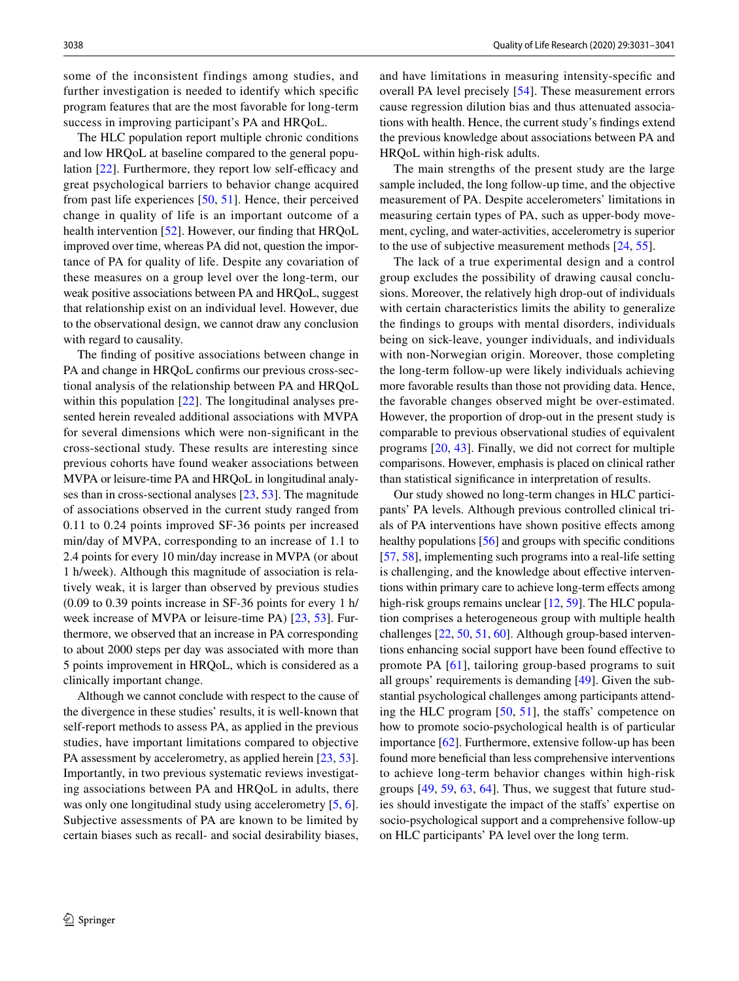some of the inconsistent findings among studies, and further investigation is needed to identify which specifc program features that are the most favorable for long-term success in improving participant's PA and HRQoL.

The HLC population report multiple chronic conditions and low HRQoL at baseline compared to the general population  $[22]$  $[22]$ . Furthermore, they report low self-efficacy and great psychological barriers to behavior change acquired from past life experiences [[50,](#page-10-6) [51](#page-10-7)]. Hence, their perceived change in quality of life is an important outcome of a health intervention [[52\]](#page-10-8). However, our finding that HRQoL improved over time, whereas PA did not, question the importance of PA for quality of life. Despite any covariation of these measures on a group level over the long-term, our weak positive associations between PA and HRQoL, suggest that relationship exist on an individual level. However, due to the observational design, we cannot draw any conclusion with regard to causality.

The fnding of positive associations between change in PA and change in HRQoL confrms our previous cross-sectional analysis of the relationship between PA and HRQoL within this population [[22](#page-9-7)]. The longitudinal analyses presented herein revealed additional associations with MVPA for several dimensions which were non-signifcant in the cross-sectional study. These results are interesting since previous cohorts have found weaker associations between MVPA or leisure-time PA and HRQoL in longitudinal analyses than in cross-sectional analyses [\[23](#page-9-8), [53\]](#page-10-9). The magnitude of associations observed in the current study ranged from 0.11 to 0.24 points improved SF-36 points per increased min/day of MVPA, corresponding to an increase of 1.1 to 2.4 points for every 10 min/day increase in MVPA (or about 1 h/week). Although this magnitude of association is relatively weak, it is larger than observed by previous studies (0.09 to 0.39 points increase in SF-36 points for every 1 h/ week increase of MVPA or leisure-time PA) [[23,](#page-9-8) [53](#page-10-9)]. Furthermore, we observed that an increase in PA corresponding to about 2000 steps per day was associated with more than 5 points improvement in HRQoL, which is considered as a clinically important change.

Although we cannot conclude with respect to the cause of the divergence in these studies' results, it is well-known that self-report methods to assess PA, as applied in the previous studies, have important limitations compared to objective PA assessment by accelerometry, as applied herein [\[23,](#page-9-8) [53](#page-10-9)]. Importantly, in two previous systematic reviews investigating associations between PA and HRQoL in adults, there was only one longitudinal study using accelerometry  $[5, 6]$  $[5, 6]$  $[5, 6]$  $[5, 6]$ . Subjective assessments of PA are known to be limited by certain biases such as recall- and social desirability biases,

and have limitations in measuring intensity-specifc and overall PA level precisely [\[54](#page-10-10)]. These measurement errors cause regression dilution bias and thus attenuated associations with health. Hence, the current study's fndings extend the previous knowledge about associations between PA and HRQoL within high-risk adults.

The main strengths of the present study are the large sample included, the long follow-up time, and the objective measurement of PA. Despite accelerometers' limitations in measuring certain types of PA, such as upper-body movement, cycling, and water-activities, accelerometry is superior to the use of subjective measurement methods [[24,](#page-9-9) [55\]](#page-10-11).

The lack of a true experimental design and a control group excludes the possibility of drawing causal conclusions. Moreover, the relatively high drop-out of individuals with certain characteristics limits the ability to generalize the fndings to groups with mental disorders, individuals being on sick-leave, younger individuals, and individuals with non-Norwegian origin. Moreover, those completing the long-term follow-up were likely individuals achieving more favorable results than those not providing data. Hence, the favorable changes observed might be over-estimated. However, the proportion of drop-out in the present study is comparable to previous observational studies of equivalent programs [[20,](#page-9-25) [43](#page-10-12)]. Finally, we did not correct for multiple comparisons. However, emphasis is placed on clinical rather than statistical signifcance in interpretation of results.

Our study showed no long-term changes in HLC participants' PA levels. Although previous controlled clinical trials of PA interventions have shown positive efects among healthy populations [\[56](#page-10-13)] and groups with specifc conditions [\[57](#page-10-14), [58](#page-10-15)], implementing such programs into a real-life setting is challenging, and the knowledge about effective interventions within primary care to achieve long-term efects among high-risk groups remains unclear [[12,](#page-8-8) [59](#page-10-16)]. The HLC population comprises a heterogeneous group with multiple health challenges [[22,](#page-9-7) [50](#page-10-6), [51](#page-10-7), [60](#page-10-17)]. Although group-based interventions enhancing social support have been found efective to promote PA [[61](#page-10-18)], tailoring group-based programs to suit all groups' requirements is demanding [[49\]](#page-10-5). Given the substantial psychological challenges among participants attending the HLC program [[50](#page-10-6), [51](#page-10-7)], the stafs' competence on how to promote socio-psychological health is of particular importance [[62\]](#page-10-19). Furthermore, extensive follow-up has been found more benefcial than less comprehensive interventions to achieve long-term behavior changes within high-risk groups [[49](#page-10-5), [59,](#page-10-16) [63](#page-10-20), [64\]](#page-10-21). Thus, we suggest that future studies should investigate the impact of the stafs' expertise on socio-psychological support and a comprehensive follow-up on HLC participants' PA level over the long term.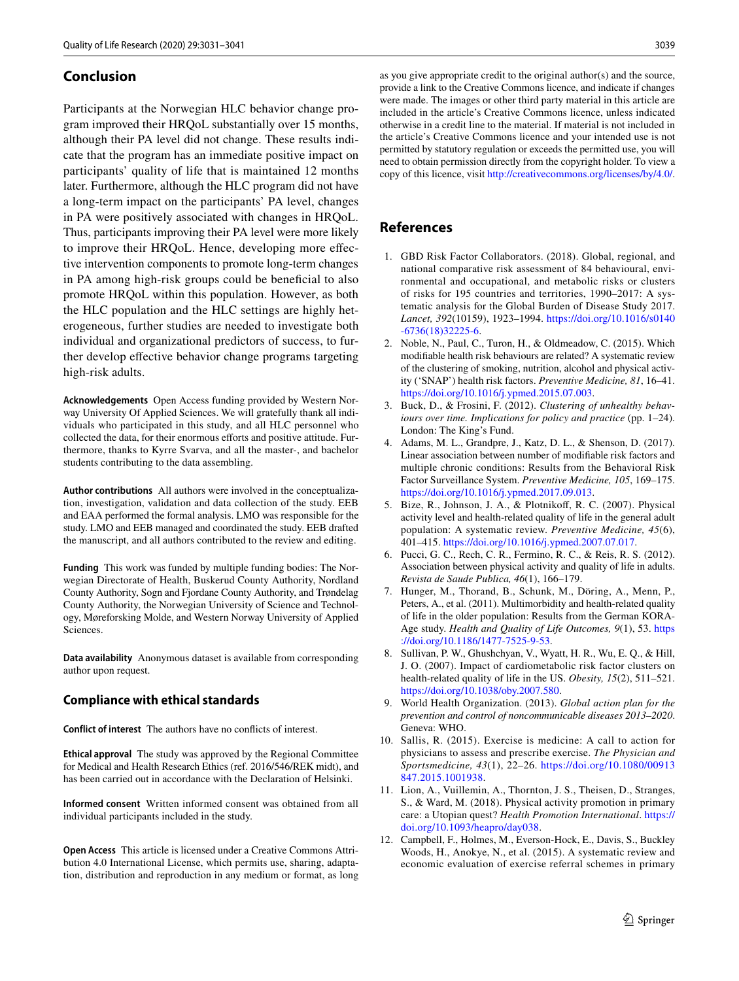# **Conclusion**

Participants at the Norwegian HLC behavior change program improved their HRQoL substantially over 15 months, although their PA level did not change. These results indicate that the program has an immediate positive impact on participants' quality of life that is maintained 12 months later. Furthermore, although the HLC program did not have a long-term impact on the participants' PA level, changes in PA were positively associated with changes in HRQoL. Thus, participants improving their PA level were more likely to improve their HRQoL. Hence, developing more efective intervention components to promote long-term changes in PA among high-risk groups could be benefcial to also promote HRQoL within this population. However, as both the HLC population and the HLC settings are highly heterogeneous, further studies are needed to investigate both individual and organizational predictors of success, to further develop efective behavior change programs targeting high-risk adults.

**Acknowledgements** Open Access funding provided by Western Norway University Of Applied Sciences. We will gratefully thank all individuals who participated in this study, and all HLC personnel who collected the data, for their enormous efforts and positive attitude. Furthermore, thanks to Kyrre Svarva, and all the master-, and bachelor students contributing to the data assembling.

**Author contributions** All authors were involved in the conceptualization, investigation, validation and data collection of the study. EEB and EAA performed the formal analysis. LMO was responsible for the study. LMO and EEB managed and coordinated the study. EEB drafted the manuscript, and all authors contributed to the review and editing.

**Funding** This work was funded by multiple funding bodies: The Norwegian Directorate of Health, Buskerud County Authority, Nordland County Authority, Sogn and Fjordane County Authority, and Trøndelag County Authority, the Norwegian University of Science and Technology, Møreforsking Molde, and Western Norway University of Applied Sciences.

**Data availability** Anonymous dataset is available from corresponding author upon request.

#### **Compliance with ethical standards**

**Conflict of interest** The authors have no conficts of interest.

**Ethical approval** The study was approved by the Regional Committee for Medical and Health Research Ethics (ref. 2016/546/REK midt), and has been carried out in accordance with the Declaration of Helsinki.

**Informed consent** Written informed consent was obtained from all individual participants included in the study.

**Open Access** This article is licensed under a Creative Commons Attribution 4.0 International License, which permits use, sharing, adaptation, distribution and reproduction in any medium or format, as long

as you give appropriate credit to the original author(s) and the source, provide a link to the Creative Commons licence, and indicate if changes were made. The images or other third party material in this article are included in the article's Creative Commons licence, unless indicated otherwise in a credit line to the material. If material is not included in the article's Creative Commons licence and your intended use is not permitted by statutory regulation or exceeds the permitted use, you will need to obtain permission directly from the copyright holder. To view a copy of this licence, visit<http://creativecommons.org/licenses/by/4.0/>.

# **References**

- <span id="page-8-0"></span>1. GBD Risk Factor Collaborators. (2018). Global, regional, and national comparative risk assessment of 84 behavioural, environmental and occupational, and metabolic risks or clusters of risks for 195 countries and territories, 1990–2017: A systematic analysis for the Global Burden of Disease Study 2017. *Lancet, 392*(10159), 1923–1994. [https://doi.org/10.1016/s0140](https://doi.org/10.1016/s0140-6736(18)32225-6) [-6736\(18\)32225-6](https://doi.org/10.1016/s0140-6736(18)32225-6).
- <span id="page-8-1"></span>2. Noble, N., Paul, C., Turon, H., & Oldmeadow, C. (2015). Which modifable health risk behaviours are related? A systematic review of the clustering of smoking, nutrition, alcohol and physical activity ('SNAP') health risk factors. *Preventive Medicine, 81*, 16–41. <https://doi.org/10.1016/j.ypmed.2015.07.003>.
- 3. Buck, D., & Frosini, F. (2012). *Clustering of unhealthy behaviours over time. Implications for policy and practice* (pp. 1–24). London: The King's Fund.
- <span id="page-8-2"></span>4. Adams, M. L., Grandpre, J., Katz, D. L., & Shenson, D. (2017). Linear association between number of modifable risk factors and multiple chronic conditions: Results from the Behavioral Risk Factor Surveillance System. *Preventive Medicine, 105*, 169–175. <https://doi.org/10.1016/j.ypmed.2017.09.013>.
- <span id="page-8-3"></span>5. Bize, R., Johnson, J. A., & Plotnikoff, R. C. (2007). Physical activity level and health-related quality of life in the general adult population: A systematic review. *Preventive Medicine, 45*(6), 401–415. [https://doi.org/10.1016/j.ypmed.2007.07.017.](https://doi.org/10.1016/j.ypmed.2007.07.017)
- <span id="page-8-9"></span>6. Pucci, G. C., Rech, C. R., Fermino, R. C., & Reis, R. S. (2012). Association between physical activity and quality of life in adults. *Revista de Saude Publica, 46*(1), 166–179.
- 7. Hunger, M., Thorand, B., Schunk, M., Döring, A., Menn, P., Peters, A., et al. (2011). Multimorbidity and health-related quality of life in the older population: Results from the German KORA-Age study. *Health and Quality of Life Outcomes, 9*(1), 53. [https](https://doi.org/10.1186/1477-7525-9-53) [://doi.org/10.1186/1477-7525-9-53](https://doi.org/10.1186/1477-7525-9-53).
- <span id="page-8-4"></span>8. Sullivan, P. W., Ghushchyan, V., Wyatt, H. R., Wu, E. Q., & Hill, J. O. (2007). Impact of cardiometabolic risk factor clusters on health-related quality of life in the US. *Obesity, 15*(2), 511–521. [https://doi.org/10.1038/oby.2007.580.](https://doi.org/10.1038/oby.2007.580)
- <span id="page-8-5"></span>9. World Health Organization. (2013). *Global action plan for the prevention and control of noncommunicable diseases 2013–2020*. Geneva: WHO.
- <span id="page-8-6"></span>10. Sallis, R. (2015). Exercise is medicine: A call to action for physicians to assess and prescribe exercise. *The Physician and Sportsmedicine, 43*(1), 22–26. [https://doi.org/10.1080/00913](https://doi.org/10.1080/00913847.2015.1001938) [847.2015.1001938](https://doi.org/10.1080/00913847.2015.1001938).
- <span id="page-8-7"></span>11. Lion, A., Vuillemin, A., Thornton, J. S., Theisen, D., Stranges, S., & Ward, M. (2018). Physical activity promotion in primary care: a Utopian quest? *Health Promotion International*. [https://](https://doi.org/10.1093/heapro/day038) [doi.org/10.1093/heapro/day038.](https://doi.org/10.1093/heapro/day038)
- <span id="page-8-8"></span>12. Campbell, F., Holmes, M., Everson-Hock, E., Davis, S., Buckley Woods, H., Anokye, N., et al. (2015). A systematic review and economic evaluation of exercise referral schemes in primary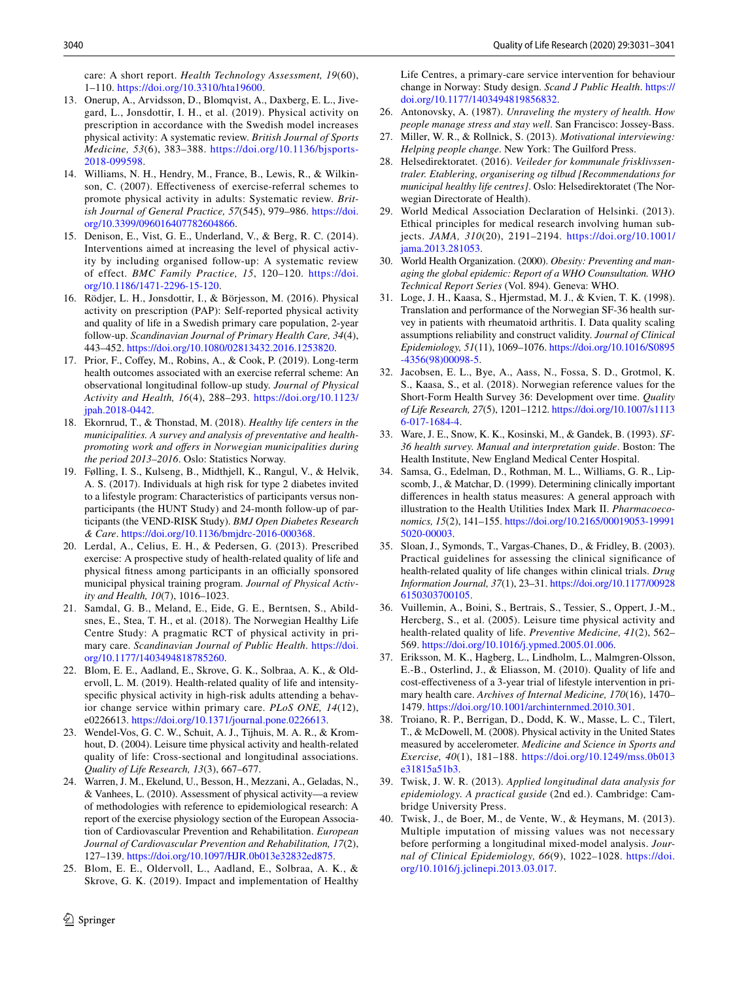care: A short report. *Health Technology Assessment, 19*(60), 1–110. [https://doi.org/10.3310/hta19600.](https://doi.org/10.3310/hta19600)

- <span id="page-9-1"></span>13. Onerup, A., Arvidsson, D., Blomqvist, A., Daxberg, E. L., Jivegard, L., Jonsdottir, I. H., et al. (2019). Physical activity on prescription in accordance with the Swedish model increases physical activity: A systematic review. *British Journal of Sports Medicine, 53*(6), 383–388. [https://doi.org/10.1136/bjsports-](https://doi.org/10.1136/bjsports-2018-099598)[2018-099598](https://doi.org/10.1136/bjsports-2018-099598).
- 14. Williams, N. H., Hendry, M., France, B., Lewis, R., & Wilkinson, C. (2007). Efectiveness of exercise-referral schemes to promote physical activity in adults: Systematic review. *British Journal of General Practice, 57*(545), 979–986. [https://doi.](https://doi.org/10.3399/096016407782604866) [org/10.3399/096016407782604866](https://doi.org/10.3399/096016407782604866).
- <span id="page-9-0"></span>15. Denison, E., Vist, G. E., Underland, V., & Berg, R. C. (2014). Interventions aimed at increasing the level of physical activity by including organised follow-up: A systematic review of effect. *BMC Family Practice, 15*, 120–120. [https://doi.](https://doi.org/10.1186/1471-2296-15-120) [org/10.1186/1471-2296-15-120.](https://doi.org/10.1186/1471-2296-15-120)
- <span id="page-9-2"></span>16. Rödjer, L. H., Jonsdottir, I., & Börjesson, M. (2016). Physical activity on prescription (PAP): Self-reported physical activity and quality of life in a Swedish primary care population, 2-year follow-up. *Scandinavian Journal of Primary Health Care, 34*(4), 443–452.<https://doi.org/10.1080/02813432.2016.1253820>.
- <span id="page-9-3"></span>17. Prior, F., Cofey, M., Robins, A., & Cook, P. (2019). Long-term health outcomes associated with an exercise referral scheme: An observational longitudinal follow-up study. *Journal of Physical Activity and Health, 16*(4), 288–293. [https://doi.org/10.1123/](https://doi.org/10.1123/jpah.2018-0442) [jpah.2018-0442](https://doi.org/10.1123/jpah.2018-0442).
- <span id="page-9-4"></span>18. Ekornrud, T., & Thonstad, M. (2018). *Healthy life centers in the municipalities. A survey and analysis of preventative and healthpromoting work and ofers in Norwegian municipalities during the period 2013–2016*. Oslo: Statistics Norway.
- <span id="page-9-5"></span>19. Følling, I. S., Kulseng, B., Midthjell, K., Rangul, V., & Helvik, A. S. (2017). Individuals at high risk for type 2 diabetes invited to a lifestyle program: Characteristics of participants versus nonparticipants (the HUNT Study) and 24-month follow-up of participants (the VEND-RISK Study). *BMJ Open Diabetes Research & Care*. <https://doi.org/10.1136/bmjdrc-2016-000368>.
- <span id="page-9-25"></span>20. Lerdal, A., Celius, E. H., & Pedersen, G. (2013). Prescribed exercise: A prospective study of health-related quality of life and physical fitness among participants in an officially sponsored municipal physical training program. *Journal of Physical Activity and Health, 10*(7), 1016–1023.
- <span id="page-9-6"></span>21. Samdal, G. B., Meland, E., Eide, G. E., Berntsen, S., Abildsnes, E., Stea, T. H., et al. (2018). The Norwegian Healthy Life Centre Study: A pragmatic RCT of physical activity in primary care. *Scandinavian Journal of Public Health*. [https://doi.](https://doi.org/10.1177/1403494818785260) [org/10.1177/1403494818785260.](https://doi.org/10.1177/1403494818785260)
- <span id="page-9-7"></span>22. Blom, E. E., Aadland, E., Skrove, G. K., Solbraa, A. K., & Oldervoll, L. M. (2019). Health-related quality of life and intensityspecifc physical activity in high-risk adults attending a behavior change service within primary care. *PLoS ONE, 14*(12), e0226613. [https://doi.org/10.1371/journal.pone.0226613.](https://doi.org/10.1371/journal.pone.0226613)
- <span id="page-9-8"></span>23. Wendel-Vos, G. C. W., Schuit, A. J., Tijhuis, M. A. R., & Kromhout, D. (2004). Leisure time physical activity and health-related quality of life: Cross-sectional and longitudinal associations. *Quality of Life Research, 13*(3), 667–677.
- <span id="page-9-9"></span>24. Warren, J. M., Ekelund, U., Besson, H., Mezzani, A., Geladas, N., & Vanhees, L. (2010). Assessment of physical activity—a review of methodologies with reference to epidemiological research: A report of the exercise physiology section of the European Association of Cardiovascular Prevention and Rehabilitation. *European Journal of Cardiovascular Prevention and Rehabilitation, 17*(2), 127–139.<https://doi.org/10.1097/HJR.0b013e32832ed875>.
- <span id="page-9-10"></span>25. Blom, E. E., Oldervoll, L., Aadland, E., Solbraa, A. K., & Skrove, G. K. (2019). Impact and implementation of Healthy

Life Centres, a primary-care service intervention for behaviour change in Norway: Study design. *Scand J Public Health*. [https://](https://doi.org/10.1177/1403494819856832) [doi.org/10.1177/1403494819856832](https://doi.org/10.1177/1403494819856832).

- <span id="page-9-11"></span>26. Antonovsky, A. (1987). *Unraveling the mystery of health. How people manage stress and stay well*. San Francisco: Jossey-Bass.
- <span id="page-9-12"></span>27. Miller, W. R., & Rollnick, S. (2013). *Motivational interviewing: Helping people change*. New York: The Guilford Press.
- <span id="page-9-13"></span>28. Helsedirektoratet. (2016). *Veileder for kommunale frisklivssentraler. Etablering, organisering og tilbud [Recommendations for municipal healthy life centres]*. Oslo: Helsedirektoratet (The Norwegian Directorate of Health).
- <span id="page-9-14"></span>29. World Medical Association Declaration of Helsinki. (2013). Ethical principles for medical research involving human subjects. *JAMA, 310*(20), 2191–2194. [https://doi.org/10.1001/](https://doi.org/10.1001/jama.2013.281053) [jama.2013.281053](https://doi.org/10.1001/jama.2013.281053).
- <span id="page-9-15"></span>30. World Health Organization. (2000). *Obesity: Preventing and managing the global epidemic: Report of a WHO Counsultation. WHO Technical Report Series* (Vol. 894). Geneva: WHO.
- <span id="page-9-16"></span>31. Loge, J. H., Kaasa, S., Hjermstad, M. J., & Kvien, T. K. (1998). Translation and performance of the Norwegian SF-36 health survey in patients with rheumatoid arthritis. I. Data quality scaling assumptions reliability and construct validity. *Journal of Clinical Epidemiology, 51*(11), 1069–1076. [https://doi.org/10.1016/S0895](https://doi.org/10.1016/S0895-4356(98)00098-5) [-4356\(98\)00098-5](https://doi.org/10.1016/S0895-4356(98)00098-5).
- <span id="page-9-17"></span>32. Jacobsen, E. L., Bye, A., Aass, N., Fossa, S. D., Grotmol, K. S., Kaasa, S., et al. (2018). Norwegian reference values for the Short-Form Health Survey 36: Development over time. *Quality of Life Research, 27*(5), 1201–1212. [https://doi.org/10.1007/s1113](https://doi.org/10.1007/s11136-017-1684-4) [6-017-1684-4](https://doi.org/10.1007/s11136-017-1684-4).
- <span id="page-9-18"></span>33. Ware, J. E., Snow, K. K., Kosinski, M., & Gandek, B. (1993). *SF-36 health survey. Manual and interpretation guide*. Boston: The Health Institute, New England Medical Center Hospital.
- <span id="page-9-19"></span>34. Samsa, G., Edelman, D., Rothman, M. L., Williams, G. R., Lipscomb, J., & Matchar, D. (1999). Determining clinically important diferences in health status measures: A general approach with illustration to the Health Utilities Index Mark II. *Pharmacoeconomics, 15*(2), 141–155. [https://doi.org/10.2165/00019053-19991](https://doi.org/10.2165/00019053-199915020-00003) [5020-00003.](https://doi.org/10.2165/00019053-199915020-00003)
- 35. Sloan, J., Symonds, T., Vargas-Chanes, D., & Fridley, B. (2003). Practical guidelines for assessing the clinical signifcance of health-related quality of life changes within clinical trials. *Drug Information Journal, 37*(1), 23–31. [https://doi.org/10.1177/00928](https://doi.org/10.1177/009286150303700105) [6150303700105.](https://doi.org/10.1177/009286150303700105)
- <span id="page-9-24"></span>36. Vuillemin, A., Boini, S., Bertrais, S., Tessier, S., Oppert, J.-M., Hercberg, S., et al. (2005). Leisure time physical activity and health-related quality of life. *Preventive Medicine, 41*(2), 562– 569.<https://doi.org/10.1016/j.ypmed.2005.01.006>.
- <span id="page-9-20"></span>37. Eriksson, M. K., Hagberg, L., Lindholm, L., Malmgren-Olsson, E.-B., Osterlind, J., & Eliasson, M. (2010). Quality of life and cost-efectiveness of a 3-year trial of lifestyle intervention in primary health care. *Archives of Internal Medicine, 170*(16), 1470– 1479. [https://doi.org/10.1001/archinternmed.2010.301.](https://doi.org/10.1001/archinternmed.2010.301)
- <span id="page-9-21"></span>38. Troiano, R. P., Berrigan, D., Dodd, K. W., Masse, L. C., Tilert, T., & McDowell, M. (2008). Physical activity in the United States measured by accelerometer. *Medicine and Science in Sports and Exercise, 40*(1), 181–188. [https://doi.org/10.1249/mss.0b013](https://doi.org/10.1249/mss.0b013e31815a51b3) [e31815a51b3](https://doi.org/10.1249/mss.0b013e31815a51b3).
- <span id="page-9-22"></span>39. Twisk, J. W. R. (2013). *Applied longitudinal data analysis for epidemiology. A practical guside* (2nd ed.). Cambridge: Cambridge University Press.
- <span id="page-9-23"></span>40. Twisk, J., de Boer, M., de Vente, W., & Heymans, M. (2013). Multiple imputation of missing values was not necessary before performing a longitudinal mixed-model analysis. *Journal of Clinical Epidemiology, 66*(9), 1022–1028. [https://doi.](https://doi.org/10.1016/j.jclinepi.2013.03.017) [org/10.1016/j.jclinepi.2013.03.017.](https://doi.org/10.1016/j.jclinepi.2013.03.017)